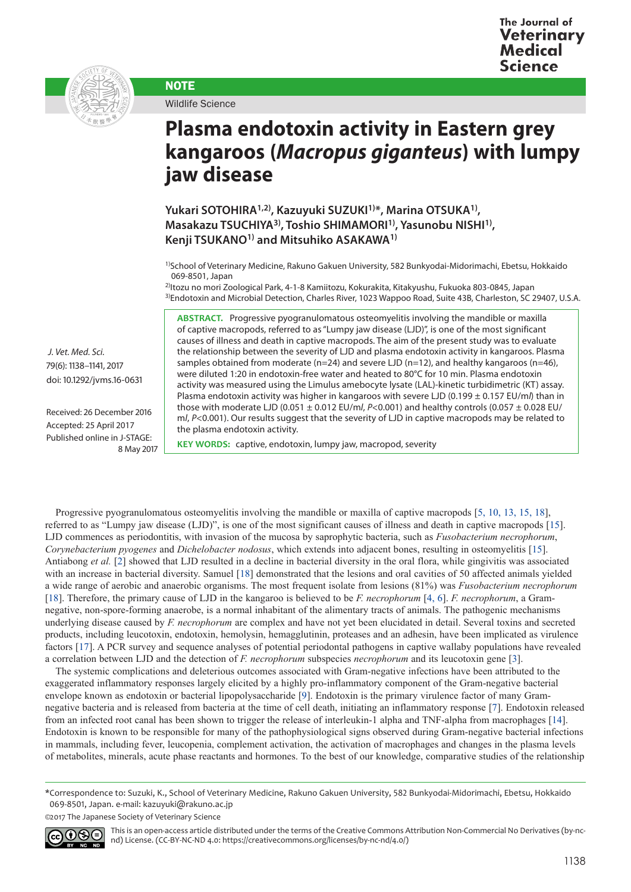

Wildlife Science

**NOTE** 

## **Plasma endotoxin activity in Eastern grey kangaroos (***Macropus giganteus***) with lumpy jaw disease**

**Yukari SOTOHIRA1,2), Kazuyuki SUZUKI1)\*, Marina OTSUKA1), Masakazu TSUCHIYA3), Toshio SHIMAMORI1), Yasunobu NISHI1), Kenji TSUKANO1) and Mitsuhiko ASAKAWA1)**

1)School of Veterinary Medicine, Rakuno Gakuen University, 582 Bunkyodai-Midorimachi, Ebetsu, Hokkaido 069-8501, Japan

2)Itozu no mori Zoological Park, 4-1-8 Kamiitozu, Kokurakita, Kitakyushu, Fukuoka 803-0845, Japan 3)Endotoxin and Microbial Detection, Charles River, 1023 Wappoo Road, Suite 43B, Charleston, SC 29407, U.S.A.

**ABSTRACT.** Progressive pyogranulomatous osteomyelitis involving the mandible or maxilla of captive macropods, referred to as "Lumpy jaw disease (LJD)", is one of the most significant causes of illness and death in captive macropods. The aim of the present study was to evaluate the relationship between the severity of LJD and plasma endotoxin activity in kangaroos. Plasma samples obtained from moderate (n=24) and severe LJD (n=12), and healthy kangaroos (n=46), were diluted 1:20 in endotoxin-free water and heated to 80°C for 10 min. Plasma endotoxin activity was measured using the Limulus amebocyte lysate (LAL)-kinetic turbidimetric (KT) assay. Plasma endotoxin activity was higher in kangaroos with severe LJD (0.199 ± 0.157 EU/m*l*) than in those with moderate LJD (0.051 ± 0.012 EU/m*l*, *P*<0.001) and healthy controls (0.057 ± 0.028 EU/ m/,  $P < 0.001$ ). Our results suggest that the severity of LJD in captive macropods may be related to the plasma endotoxin activity.

**KEY WORDS:** captive, endotoxin, lumpy jaw, macropod, severity

Progressive pyogranulomatous osteomyelitis involving the mandible or maxilla of captive macropods [[5, 10, 13, 15, 18](#page-2-0)], referred to as "Lumpy jaw disease (LJD)", is one of the most significant causes of illness and death in captive macropods [[15](#page-3-0)]. LJD commences as periodontitis, with invasion of the mucosa by saprophytic bacteria, such as *Fusobacterium necrophorum*, *Corynebacterium pyogenes* and *Dichelobacter nodosus*, which extends into adjacent bones, resulting in osteomyelitis [\[15\]](#page-3-0). Antiabong *et al.* [[2\]](#page-2-1) showed that LJD resulted in a decline in bacterial diversity in the oral flora, while gingivitis was associated with an increase in bacterial diversity. Samuel [\[18\]](#page-3-1) demonstrated that the lesions and oral cavities of 50 affected animals yielded a wide range of aerobic and anaerobic organisms. The most frequent isolate from lesions (81%) was *Fusobacterium necrophorum* [[18](#page-3-1)]. Therefore, the primary cause of LJD in the kangaroo is believed to be *F. necrophorum* [[4, 6\]](#page-2-2). *F. necrophorum*, a Gramnegative, non-spore-forming anaerobe, is a normal inhabitant of the alimentary tracts of animals. The pathogenic mechanisms underlying disease caused by *F. necrophorum* are complex and have not yet been elucidated in detail. Several toxins and secreted products, including leucotoxin, endotoxin, hemolysin, hemagglutinin, proteases and an adhesin, have been implicated as virulence factors [\[17](#page-3-2)]. A PCR survey and sequence analyses of potential periodontal pathogens in captive wallaby populations have revealed a correlation between LJD and the detection of *F. necrophorum* subspecies *necrophorum* and its leucotoxin gene [\[3](#page-2-3)].

The systemic complications and deleterious outcomes associated with Gram-negative infections have been attributed to the exaggerated inflammatory responses largely elicited by a highly pro-inflammatory component of the Gram-negative bacterial envelope known as endotoxin or bacterial lipopolysaccharide [[9\]](#page-3-3). Endotoxin is the primary virulence factor of many Gramnegative bacteria and is released from bacteria at the time of cell death, initiating an inflammatory response [\[7](#page-2-4)]. Endotoxin released from an infected root canal has been shown to trigger the release of interleukin-1 alpha and TNF-alpha from macrophages [[14](#page-3-4)]. Endotoxin is known to be responsible for many of the pathophysiological signs observed during Gram-negative bacterial infections in mammals, including fever, leucopenia, complement activation, the activation of macrophages and changes in the plasma levels of metabolites, minerals, acute phase reactants and hormones. To the best of our knowledge, comparative studies of the relationship

<sup>©2017</sup> The Japanese Society of Veterinary Science



This is an open-access article distributed under the terms of the Creative Commons Attribution Non-Commercial No Derivatives (by-ncnd) License. (CC-BY-NC-ND 4.0: [https://creativecommons.org/licenses/by-nc-nd/4.0/\)](https://creativecommons.org/licenses/by-nc-nd/4.0/)

 *J. Vet. Med. Sci.*  79(6): 1138–1141, 2017 doi: 10.1292/jvms.16-0631

Received: 26 December 2016 Accepted: 25 April 2017 Published online in J-STAGE: 8 May 2017

<sup>\*</sup>Correspondence to: Suzuki, K., School of Veterinary Medicine, Rakuno Gakuen University, 582 Bunkyodai-Midorimachi, Ebetsu, Hokkaido 069-8501, Japan. e-mail: kazuyuki@rakuno.ac.jp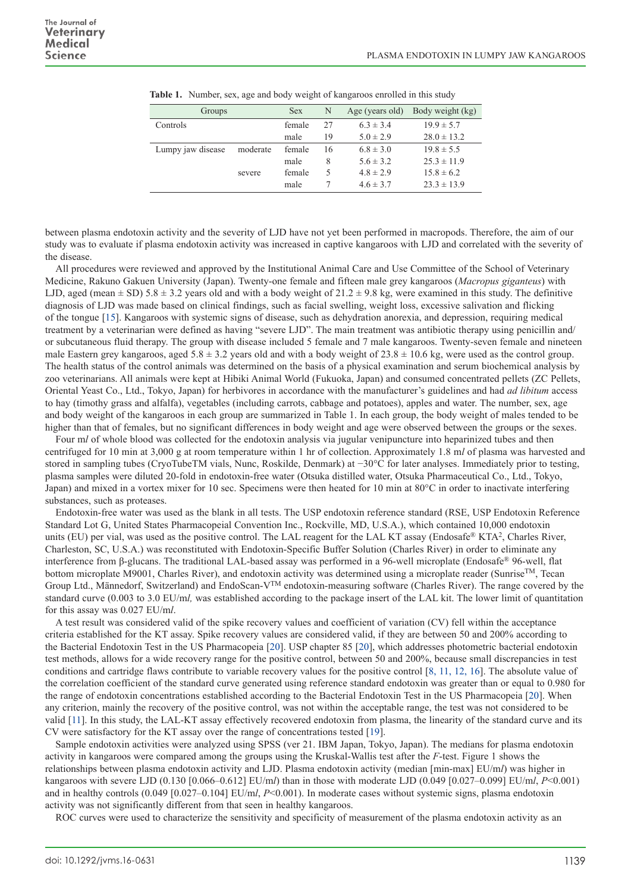| Groups            |          | <b>Sex</b> | N  | Age (years old) | Body weight (kg) |
|-------------------|----------|------------|----|-----------------|------------------|
| Controls          |          | female     | 27 | $6.3 \pm 3.4$   | $19.9 \pm 5.7$   |
|                   |          | male       | 19 | $5.0 \pm 2.9$   | $28.0 \pm 13.2$  |
| Lumpy jaw disease | moderate | female     | 16 | $6.8 \pm 3.0$   | $19.8 \pm 5.5$   |
|                   |          | male       | 8  | $5.6 \pm 3.2$   | $25.3 \pm 11.9$  |
|                   | severe   | female     | 5  | $4.8 \pm 2.9$   | $15.8 \pm 6.2$   |
|                   |          | male       |    | $4.6 \pm 3.7$   | $23.3 \pm 13.9$  |

|  |  | Table 1. Number, sex, age and body weight of kangaroos enrolled in this study |  |
|--|--|-------------------------------------------------------------------------------|--|
|  |  |                                                                               |  |

between plasma endotoxin activity and the severity of LJD have not yet been performed in macropods. Therefore, the aim of our study was to evaluate if plasma endotoxin activity was increased in captive kangaroos with LJD and correlated with the severity of the disease.

All procedures were reviewed and approved by the Institutional Animal Care and Use Committee of the School of Veterinary Medicine, Rakuno Gakuen University (Japan). Twenty-one female and fifteen male grey kangaroos (*Macropus giganteus*) with LJD, aged (mean  $\pm$  SD) 5.8  $\pm$  3.2 years old and with a body weight of 21.2  $\pm$  9.8 kg, were examined in this study. The definitive diagnosis of LJD was made based on clinical findings, such as facial swelling, weight loss, excessive salivation and flicking of the tongue [\[15](#page-3-0)]. Kangaroos with systemic signs of disease, such as dehydration anorexia, and depression, requiring medical treatment by a veterinarian were defined as having "severe LJD". The main treatment was antibiotic therapy using penicillin and/ or subcutaneous fluid therapy. The group with disease included 5 female and 7 male kangaroos. Twenty-seven female and nineteen male Eastern grey kangaroos, aged 5.8  $\pm$  3.2 years old and with a body weight of 23.8  $\pm$  10.6 kg, were used as the control group. The health status of the control animals was determined on the basis of a physical examination and serum biochemical analysis by zoo veterinarians. All animals were kept at Hibiki Animal World (Fukuoka, Japan) and consumed concentrated pellets (ZC Pellets, Oriental Yeast Co., Ltd., Tokyo, Japan) for herbivores in accordance with the manufacturer's guidelines and had *ad libitum* access to hay (timothy grass and alfalfa), vegetables (including carrots, cabbage and potatoes), apples and water. The number, sex, age and body weight of the kangaroos in each group are summarized in Table 1. In each group, the body weight of males tended to be higher than that of females, but no significant differences in body weight and age were observed between the groups or the sexes.

Four m*l* of whole blood was collected for the endotoxin analysis via jugular venipuncture into heparinized tubes and then centrifuged for 10 min at 3,000 g at room temperature within 1 hr of collection. Approximately 1.8 m*l* of plasma was harvested and stored in sampling tubes (CryoTubeTM vials, Nunc, Roskilde, Denmark) at −30°C for later analyses. Immediately prior to testing, plasma samples were diluted 20-fold in endotoxin-free water (Otsuka distilled water, Otsuka Pharmaceutical Co., Ltd., Tokyo, Japan) and mixed in a vortex mixer for 10 sec. Specimens were then heated for 10 min at 80°C in order to inactivate interfering substances, such as proteases.

Endotoxin-free water was used as the blank in all tests. The USP endotoxin reference standard (RSE, USP Endotoxin Reference Standard Lot G, United States Pharmacopeial Convention Inc., Rockville, MD, U.S.A.), which contained 10,000 endotoxin units (EU) per vial, was used as the positive control. The LAL reagent for the LAL KT assay (Endosafe<sup>®</sup> KTA<sup>2</sup>, Charles River, Charleston, SC, U.S.A.) was reconstituted with Endotoxin-Specific Buffer Solution (Charles River) in order to eliminate any interference from β-glucans. The traditional LAL-based assay was performed in a 96-well microplate (Endosafe® 96-well, flat bottom microplate M9001, Charles River), and endotoxin activity was determined using a microplate reader (Sunrise<sup>TM</sup>, Tecan Group Ltd., Männedorf, Switzerland) and EndoScan-VTM endotoxin-measuring software (Charles River). The range covered by the standard curve (0.003 to 3.0 EU/m*l,* was established according to the package insert of the LAL kit. The lower limit of quantitation for this assay was 0.027 EU/m*l*.

A test result was considered valid of the spike recovery values and coefficient of variation (CV) fell within the acceptance criteria established for the KT assay. Spike recovery values are considered valid, if they are between 50 and 200% according to the Bacterial Endotoxin Test in the US Pharmacopeia [[20](#page-3-5)]. USP chapter 85 [[20](#page-3-5)], which addresses photometric bacterial endotoxin test methods, allows for a wide recovery range for the positive control, between 50 and 200%, because small discrepancies in test conditions and cartridge flaws contribute to variable recovery values for the positive control [[8, 11, 12, 16\]](#page-3-6). The absolute value of the correlation coefficient of the standard curve generated using reference standard endotoxin was greater than or equal to 0.980 for the range of endotoxin concentrations established according to the Bacterial Endotoxin Test in the US Pharmacopeia [\[20\]](#page-3-5). When any criterion, mainly the recovery of the positive control, was not within the acceptable range, the test was not considered to be valid [[11\]](#page-3-7). In this study, the LAL-KT assay effectively recovered endotoxin from plasma, the linearity of the standard curve and its CV were satisfactory for the KT assay over the range of concentrations tested [[19](#page-3-8)].

Sample endotoxin activities were analyzed using SPSS (ver 21. IBM Japan, Tokyo, Japan). The medians for plasma endotoxin activity in kangaroos were compared among the groups using the Kruskal-Wallis test after the *F*-test. Figure 1 shows the relationships between plasma endotoxin activity and LJD. Plasma endotoxin activity (median [min-max] EU/m*l*) was higher in kangaroos with severe LJD (0.130 [0.066–0.612] EU/m*l*) than in those with moderate LJD (0.049 [0.027–0.099] EU/m*l*, *P*<0.001) and in healthy controls (0.049 [0.027–0.104] EU/m*l*, *P*<0.001). In moderate cases without systemic signs, plasma endotoxin activity was not significantly different from that seen in healthy kangaroos.

ROC curves were used to characterize the sensitivity and specificity of measurement of the plasma endotoxin activity as an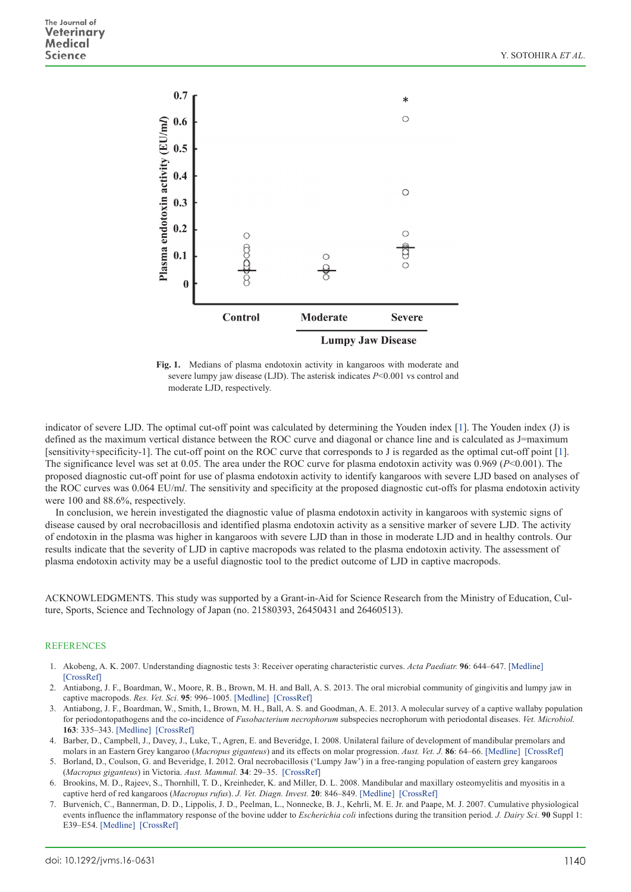

**Fig. 1.** Medians of plasma endotoxin activity in kangaroos with moderate and severe lumpy jaw disease (LJD). The asterisk indicates *P*<0.001 vs control and moderate LJD, respectively.

indicator of severe LJD. The optimal cut-off point was calculated by determining the Youden index [\[1](#page-2-5)]. The Youden index (J) is defined as the maximum vertical distance between the ROC curve and diagonal or chance line and is calculated as J=maximum [sensitivity+specificity-1]. The cut-off point on the ROC curve that corresponds to J is regarded as the optimal cut-off point [[1\]](#page-2-5). The significance level was set at 0.05. The area under the ROC curve for plasma endotoxin activity was 0.969 (*P*<0.001). The proposed diagnostic cut-off point for use of plasma endotoxin activity to identify kangaroos with severe LJD based on analyses of the ROC curves was 0.064 EU/m*l*. The sensitivity and specificity at the proposed diagnostic cut-offs for plasma endotoxin activity were 100 and 88.6%, respectively.

In conclusion, we herein investigated the diagnostic value of plasma endotoxin activity in kangaroos with systemic signs of disease caused by oral necrobacillosis and identified plasma endotoxin activity as a sensitive marker of severe LJD. The activity of endotoxin in the plasma was higher in kangaroos with severe LJD than in those in moderate LJD and in healthy controls. Our results indicate that the severity of LJD in captive macropods was related to the plasma endotoxin activity. The assessment of plasma endotoxin activity may be a useful diagnostic tool to the predict outcome of LJD in captive macropods.

ACKNOWLEDGMENTS. This study was supported by a Grant-in-Aid for Science Research from the Ministry of Education, Culture, Sports, Science and Technology of Japan (no. 21580393, 26450431 and 26460513).

## **REFERENCES**

- <span id="page-2-5"></span>1. Akobeng, A. K. 2007. Understanding diagnostic tests 3: Receiver operating characteristic curves. *Acta Paediatr.* **96**: 644–647. [\[Medline\]](http://www.ncbi.nlm.nih.gov/pubmed/17376185?dopt=Abstract)  [\[CrossRef\]](http://dx.doi.org/10.1111/j.1651-2227.2006.00178.x)
- <span id="page-2-1"></span>2. Antiabong, J. F., Boardman, W., Moore, R. B., Brown, M. H. and Ball, A. S. 2013. The oral microbial community of gingivitis and lumpy jaw in captive macropods. *Res. Vet. Sci.* **95**: 996–1005. [\[Medline\]](http://www.ncbi.nlm.nih.gov/pubmed/24012349?dopt=Abstract) [\[CrossRef\]](http://dx.doi.org/10.1016/j.rvsc.2013.08.010)
- <span id="page-2-3"></span>3. Antiabong, J. F., Boardman, W., Smith, I., Brown, M. H., Ball, A. S. and Goodman, A. E. 2013. A molecular survey of a captive wallaby population for periodontopathogens and the co-incidence of *Fusobacterium necrophorum* subspecies necrophorum with periodontal diseases. *Vet. Microbiol.* **163**: 335–343. [\[Medline\]](http://www.ncbi.nlm.nih.gov/pubmed/23428381?dopt=Abstract) [\[CrossRef\]](http://dx.doi.org/10.1016/j.vetmic.2013.01.012)
- <span id="page-2-2"></span>4. Barber, D., Campbell, J., Davey, J., Luke, T., Agren, E. and Beveridge, I. 2008. Unilateral failure of development of mandibular premolars and molars in an Eastern Grey kangaroo (*Macropus giganteus*) and its effects on molar progression. *Aust. Vet. J.* **86**: 64–66. [\[Medline\]](http://www.ncbi.nlm.nih.gov/pubmed/18271832?dopt=Abstract) [\[CrossRef\]](http://dx.doi.org/10.1111/j.1751-0813.2007.00212.x)
- <span id="page-2-0"></span>5. Borland, D., Coulson, G. and Beveridge, I. 2012. Oral necrobacillosis ('Lumpy Jaw') in a free-ranging population of eastern grey kangaroos (*Macropus giganteus*) in Victoria. *Aust. Mammal.* **34**: 29–35. [\[CrossRef\]](http://dx.doi.org/10.1071/AM10031)
- 6. Brookins, M. D., Rajeev, S., Thornhill, T. D., Kreinheder, K. and Miller, D. L. 2008. Mandibular and maxillary osteomyelitis and myositis in a captive herd of red kangaroos (*Macropus rufus*). *J. Vet. Diagn. Invest.* **20**: 846–849. [\[Medline\]](http://www.ncbi.nlm.nih.gov/pubmed/18987245?dopt=Abstract) [\[CrossRef\]](http://dx.doi.org/10.1177/104063870802000627)
- <span id="page-2-4"></span>7. Burvenich, C., Bannerman, D. D., Lippolis, J. D., Peelman, L., Nonnecke, B. J., Kehrli, M. E. Jr. and Paape, M. J. 2007. Cumulative physiological events influence the inflammatory response of the bovine udder to *Escherichia coli* infections during the transition period. *J. Dairy Sci.* **90** Suppl 1: E39–E54. [\[Medline\]](http://www.ncbi.nlm.nih.gov/pubmed/17517751?dopt=Abstract) [\[CrossRef\]](http://dx.doi.org/10.3168/jds.2006-696)